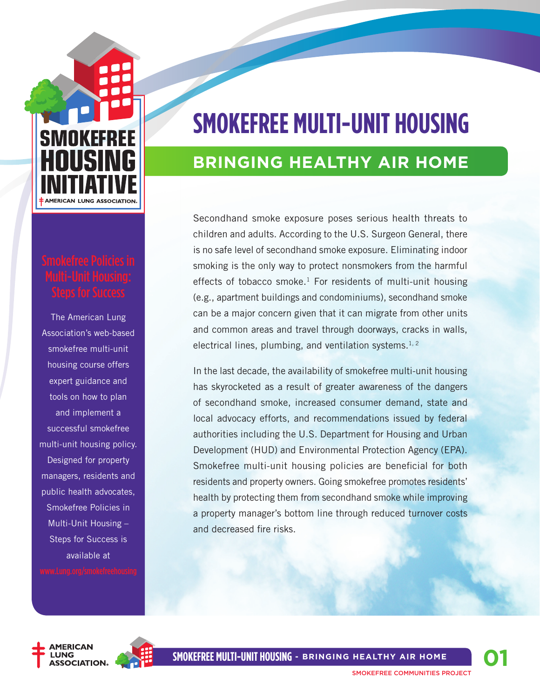# **SMOKEFREE AMERICAN LUNG ASSOCIATION**

The American Lung Association's web-based smokefree multi-unit housing course offers expert guidance and tools on how to plan and implement a successful smokefree multi-unit housing policy. Designed for property managers, residents and public health advocates, Smokefree Policies in Multi-Unit Housing – Steps for Success is available at

## **Smokefree Multi-Unit Housing**

## **bringing healthy air home**

Secondhand smoke exposure poses serious health threats to children and adults. According to the U.S. Surgeon General, there is no safe level of secondhand smoke exposure. Eliminating indoor smoking is the only way to protect nonsmokers from the harmful effects of tobacco smoke.<sup>1</sup> For residents of multi-unit housing (e.g., apartment buildings and condominiums), secondhand smoke can be a major concern given that it can migrate from other units and common areas and travel through doorways, cracks in walls, electrical lines, plumbing, and ventilation systems.<sup>1, 2</sup>

In the last decade, the availability of smokefree multi-unit housing has skyrocketed as a result of greater awareness of the dangers of secondhand smoke, increased consumer demand, state and local advocacy efforts, and recommendations issued by federal authorities including the U.S. Department for Housing and Urban Development (HUD) and Environmental Protection Agency (EPA). Smokefree multi-unit housing policies are beneficial for both residents and property owners. Going smokefree promotes residents' health by protecting them from secondhand smoke while improving a property manager's bottom line through reduced turnover costs and decreased fire risks.



**SMOKEFREE MULTI-UNIT HOUSING - Bringing Healthy Air Home**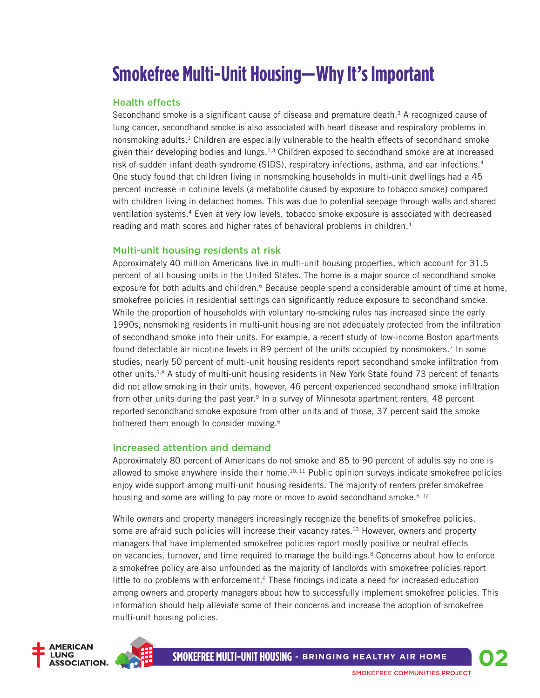## **Smokefree Multi-Unit Housing—Why It's Important**

#### Health effects

Secondhand smoke is a significant cause of disease and premature death.<sup>3</sup> A recognized cause of lung cancer, secondhand smoke is also associated with heart disease and respiratory problems in nonsmoking adults.<sup>1</sup> Children are especially vulnerable to the health effects of secondhand smoke given their developing bodies and lungs.1,3 Children exposed to secondhand smoke are at increased risk of sudden infant death syndrome (SIDS), respiratory infections, asthma, and ear infections.4 One study found that children living in nonsmoking households in multi-unit dwellings had a 45 percent increase in cotinine levels (a metabolite caused by exposure to tobacco smoke) compared with children living in detached homes. This was due to potential seepage through walls and shared ventilation systems.4 Even at very low levels, tobacco smoke exposure is associated with decreased reading and math scores and higher rates of behavioral problems in children.<sup>4</sup>

#### Multi-unit housing residents at risk

Approximately 40 million Americans live in multi-unit housing properties, which account for 31.5 percent of all housing units in the United States. The home is a major source of secondhand smoke exposure for both adults and children.<sup>6</sup> Because people spend a considerable amount of time at home, smokefree policies in residential settings can significantly reduce exposure to secondhand smoke. While the proportion of households with voluntary no-smoking rules has increased since the early 1990s, nonsmoking residents in multi-unit housing are not adequately protected from the infiltration of secondhand smoke into their units. For example, a recent study of low-income Boston apartments found detectable air nicotine levels in 89 percent of the units occupied by nonsmokers.7 In some studies, nearly 50 percent of multi-unit housing residents report secondhand smoke infiltration from other units.<sup>1,8</sup> A study of multi-unit housing residents in New York State found 73 percent of tenants did not allow smoking in their units, however, 46 percent experienced secondhand smoke infiltration from other units during the past year.<sup>9</sup> In a survey of Minnesota apartment renters, 48 percent reported secondhand smoke exposure from other units and of those, 37 percent said the smoke bothered them enough to consider moving.<sup>6</sup>

#### Increased attention and demand

Approximately 80 percent of Americans do not smoke and 85 to 90 percent of adults say no one is allowed to smoke anywhere inside their home.<sup>10, 11</sup> Public opinion surveys indicate smokefree policies enjoy wide support among multi-unit housing residents. The majority of renters prefer smokefree housing and some are willing to pay more or move to avoid secondhand smoke.<sup>6, 12</sup>

While owners and property managers increasingly recognize the benefits of smokefree policies, some are afraid such policies will increase their vacancy rates.<sup>13</sup> However, owners and property managers that have implemented smokefree policies report mostly positive or neutral effects on vacancies, turnover, and time required to manage the buildings.<sup>8</sup> Concerns about how to enforce a smokefree policy are also unfounded as the majority of landlords with smokefree policies report little to no problems with enforcement.<sup>6</sup> These findings indicate a need for increased education among owners and property managers about how to successfully implement smokefree policies. This information should help alleviate some of their concerns and increase the adoption of smokefree multi-unit housing policies.

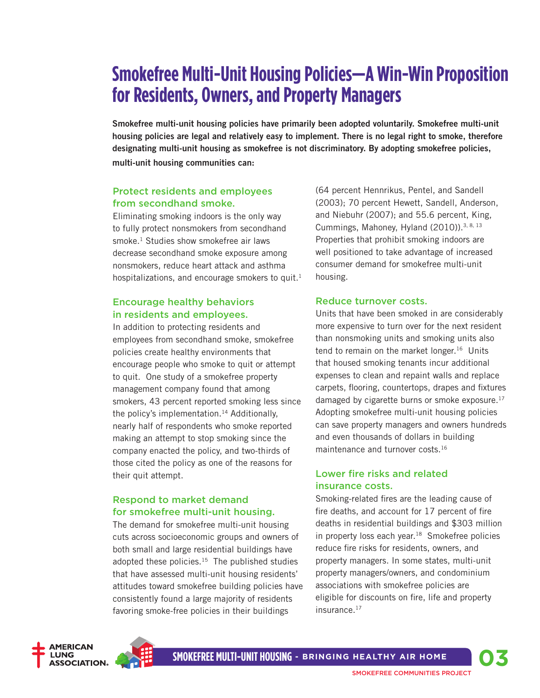## **Smokefree Multi-Unit Housing Policies—A Win-Win Proposition for Residents, Owners, and Property Managers**

**Smokefree multi-unit housing policies have primarily been adopted voluntarily. Smokefree multi-unit housing policies are legal and relatively easy to implement. There is no legal right to smoke, therefore designating multi-unit housing as smokefree is not discriminatory. By adopting smokefree policies, multi-unit housing communities can:**

#### Protect residents and employees from secondhand smoke.

Eliminating smoking indoors is the only way to fully protect nonsmokers from secondhand smoke.<sup>1</sup> Studies show smokefree air laws decrease secondhand smoke exposure among nonsmokers, reduce heart attack and asthma hospitalizations, and encourage smokers to quit. $<sup>1</sup>$ </sup>

#### Encourage healthy behaviors in residents and employees.

In addition to protecting residents and employees from secondhand smoke, smokefree policies create healthy environments that encourage people who smoke to quit or attempt to quit. One study of a smokefree property management company found that among smokers, 43 percent reported smoking less since the policy's implementation.14 Additionally, nearly half of respondents who smoke reported making an attempt to stop smoking since the company enacted the policy, and two-thirds of those cited the policy as one of the reasons for their quit attempt.

#### Respond to market demand for smokefree multi-unit housing.

The demand for smokefree multi-unit housing cuts across socioeconomic groups and owners of both small and large residential buildings have adopted these policies. $15$  The published studies that have assessed multi-unit housing residents' attitudes toward smokefree building policies have consistently found a large majority of residents favoring smoke-free policies in their buildings

(64 percent Hennrikus, Pentel, and Sandell (2003); 70 percent Hewett, Sandell, Anderson, and Niebuhr (2007); and 55.6 percent, King, Cummings, Mahoney, Hyland (2010)).<sup>3, 8, 13</sup> Properties that prohibit smoking indoors are well positioned to take advantage of increased consumer demand for smokefree multi-unit housing.

#### Reduce turnover costs.

Units that have been smoked in are considerably more expensive to turn over for the next resident than nonsmoking units and smoking units also tend to remain on the market longer.<sup>16</sup> Units that housed smoking tenants incur additional expenses to clean and repaint walls and replace carpets, flooring, countertops, drapes and fixtures damaged by cigarette burns or smoke exposure.<sup>17</sup> Adopting smokefree multi-unit housing policies can save property managers and owners hundreds and even thousands of dollars in building maintenance and turnover costs.16

#### Lower fire risks and related insurance costs.

Smoking-related fires are the leading cause of fire deaths, and account for 17 percent of fire deaths in residential buildings and \$303 million in property loss each year. $18$  Smokefree policies reduce fire risks for residents, owners, and property managers. In some states, multi-unit property managers/owners, and condominium associations with smokefree policies are eligible for discounts on fire, life and property insurance.17

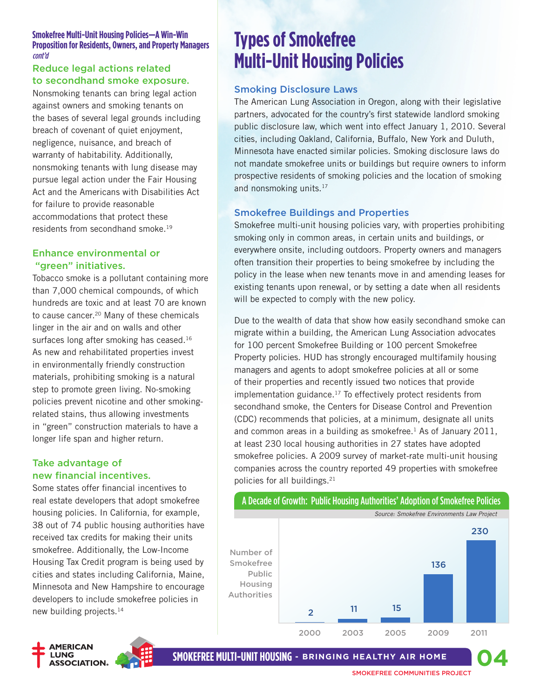#### **Smokefree Multi-Unit Housing Policies—A Win-Win Proposition for Residents, Owners, and Property Managers**  cont'd

#### Reduce legal actions related to secondhand smoke exposure.

Nonsmoking tenants can bring legal action against owners and smoking tenants on the bases of several legal grounds including breach of covenant of quiet enjoyment, negligence, nuisance, and breach of warranty of habitability. Additionally, nonsmoking tenants with lung disease may pursue legal action under the Fair Housing Act and the Americans with Disabilities Act for failure to provide reasonable accommodations that protect these residents from secondhand smoke.<sup>19</sup>

#### Enhance environmental or "green" initiatives.

Tobacco smoke is a pollutant containing more than 7,000 chemical compounds, of which hundreds are toxic and at least 70 are known to cause cancer.<sup>20</sup> Many of these chemicals linger in the air and on walls and other surfaces long after smoking has ceased.<sup>16</sup> As new and rehabilitated properties invest in environmentally friendly construction materials, prohibiting smoking is a natural step to promote green living. No-smoking policies prevent nicotine and other smokingrelated stains, thus allowing investments in "green" construction materials to have a longer life span and higher return.

#### Take advantage of new financial incentives.

Some states offer financial incentives to real estate developers that adopt smokefree housing policies. In California, for example, 38 out of 74 public housing authorities have received tax credits for making their units smokefree. Additionally, the Low-Income Housing Tax Credit program is being used by cities and states including California, Maine, Minnesota and New Hampshire to encourage developers to include smokefree policies in new building projects.14



**Types of Smokefree Multi-Unit Housing Policies**

#### Smoking Disclosure Laws

The American Lung Association in Oregon, along with their legislative partners, advocated for the country's first statewide landlord smoking public disclosure law, which went into effect January 1, 2010. Several cities, including Oakland, California, Buffalo, New York and Duluth, Minnesota have enacted similar policies. Smoking disclosure laws do not mandate smokefree units or buildings but require owners to inform prospective residents of smoking policies and the location of smoking and nonsmoking units.<sup>17</sup>

#### Smokefree Buildings and Properties

Smokefree multi-unit housing policies vary, with properties prohibiting smoking only in common areas, in certain units and buildings, or everywhere onsite, including outdoors. Property owners and managers often transition their properties to being smokefree by including the policy in the lease when new tenants move in and amending leases for existing tenants upon renewal, or by setting a date when all residents will be expected to comply with the new policy.

Due to the wealth of data that show how easily secondhand smoke can migrate within a building, the American Lung Association advocates for 100 percent Smokefree Building or 100 percent Smokefree Property policies. HUD has strongly encouraged multifamily housing managers and agents to adopt smokefree policies at all or some of their properties and recently issued two notices that provide implementation guidance.<sup>17</sup> To effectively protect residents from secondhand smoke, the Centers for Disease Control and Prevention (CDC) recommends that policies, at a minimum, designate all units and common areas in a building as smokefree. $<sup>1</sup>$  As of January 2011,</sup> at least 230 local housing authorities in 27 states have adopted smokefree policies. A 2009 survey of market-rate multi-unit housing companies across the country reported 49 properties with smokefree policies for all buildings.21

#### A Decade of Growth: Public Housing Authorities' Adoption of Smokefree Policies



**SMOKEFREE MULTI-UNIT HOUSING - Bringing Healthy Air Home**

**04**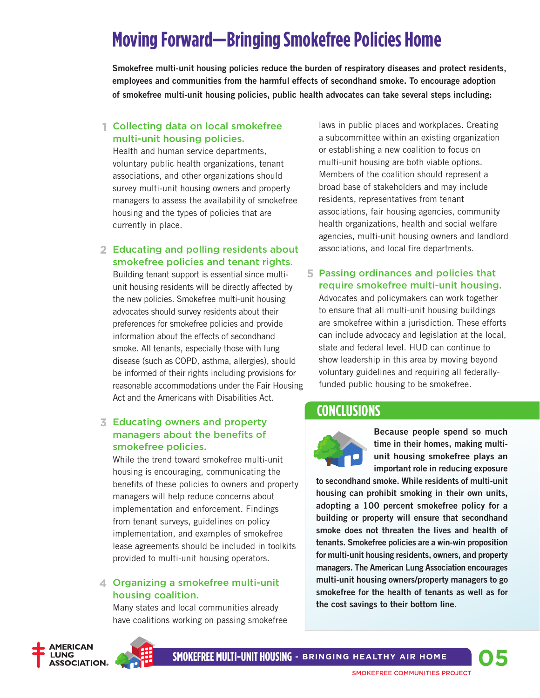## **Moving Forward—Bringing Smokefree Policies Home**

**Smokefree multi-unit housing policies reduce the burden of respiratory diseases and protect residents, employees and communities from the harmful effects of secondhand smoke. To encourage adoption of smokefree multi-unit housing policies, public health advocates can take several steps including:** 

#### Collecting data on local smokefree **1** multi-unit housing policies.

Health and human service departments, voluntary public health organizations, tenant associations, and other organizations should survey multi-unit housing owners and property managers to assess the availability of smokefree housing and the types of policies that are currently in place.

#### Educating and polling residents about **2** smokefree policies and tenant rights.

Building tenant support is essential since multiunit housing residents will be directly affected by the new policies. Smokefree multi-unit housing advocates should survey residents about their preferences for smokefree policies and provide information about the effects of secondhand smoke. All tenants, especially those with lung disease (such as COPD, asthma, allergies), should be informed of their rights including provisions for reasonable accommodations under the Fair Housing Act and the Americans with Disabilities Act.

#### Educating owners and property **3** managers about the benefits of smokefree policies.

While the trend toward smokefree multi-unit housing is encouraging, communicating the benefits of these policies to owners and property managers will help reduce concerns about implementation and enforcement. Findings from tenant surveys, guidelines on policy implementation, and examples of smokefree lease agreements should be included in toolkits provided to multi-unit housing operators.

#### Organizing a smokefree multi-unit **4** housing coalition.

Many states and local communities already have coalitions working on passing smokefree



#### Passing ordinances and policies that **5** require smokefree multi-unit housing.

Advocates and policymakers can work together to ensure that all multi-unit housing buildings are smokefree within a jurisdiction. These efforts can include advocacy and legislation at the local, state and federal level. HUD can continue to show leadership in this area by moving beyond voluntary guidelines and requiring all federallyfunded public housing to be smokefree.

### **Conclusions**



**Because people spend so much time in their homes, making multiunit housing smokefree plays an important role in reducing exposure** 

**to secondhand smoke. While residents of multi-unit housing can prohibit smoking in their own units, adopting a 100 percent smokefree policy for a building or property will ensure that secondhand smoke does not threaten the lives and health of tenants. Smokefree policies are a win-win proposition for multi-unit housing residents, owners, and property managers. The American Lung Association encourages multi-unit housing owners/property managers to go smokefree for the health of tenants as well as for the cost savings to their bottom line.**